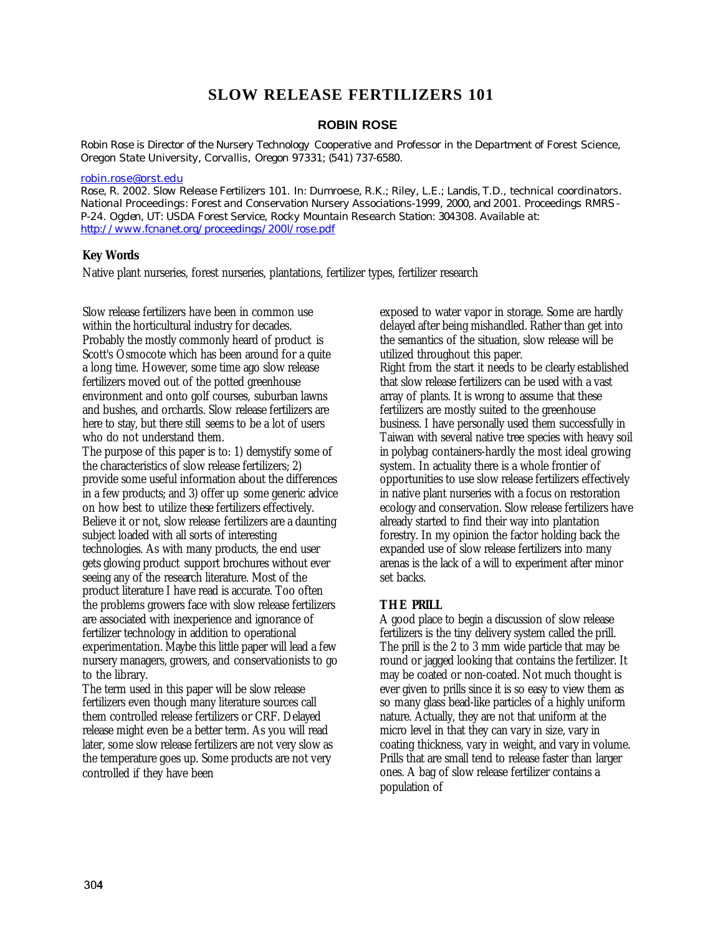# **SLOW RELEASE FERTILIZERS 101**

#### **ROBIN ROSE**

*Robin Rose is Director of the Nursery Technology Cooperative and Professor in the Department of Forest Science, Oregon State University, Corvallis, Oregon 97331; (541) 737-6580.*

#### *robin.rose@orst.edu*

*Rose, R. 2002. Slow Release Fertilizers 101. In: Dumroese, R.K.; Riley, L.E.; Landis, T.D., technical coordinators. National Proceedings: Forest and Conservation Nursery Associations-1999, 2000, and 2001. Proceedings RMRS-P-24. Ogden, UT: USDA Forest Service, Rocky Mountain Research Station: 304308. Available at: http://www.fcnanet.org/proceedings/200l/rose.pdf*

### **Key Words**

Native plant nurseries, forest nurseries, plantations, fertilizer types, fertilizer research

Slow release fertilizers have been in common use within the horticultural industry for decades. Probably the mostly commonly heard of product is Scott's Osmocote which has been around for a quite a long time. However, some time ago slow release fertilizers moved out of the potted greenhouse environment and onto golf courses, suburban lawns and bushes, and orchards. Slow release fertilizers are here to stay, but there still seems to be a lot of users who do not understand them.

The purpose of this paper is to: 1) demystify some of the characteristics of slow release fertilizers; 2) provide some useful information about the differences in a few products; and 3) offer up some generic advice on how best to utilize these fertilizers effectively. Believe it or not, slow release fertilizers are a daunting subject loaded with all sorts of interesting technologies. As with many products, the end user gets glowing product support brochures without ever seeing any of the research literature. Most of the product literature I have read is accurate. Too often the problems growers face with slow release fertilizers are associated with inexperience and ignorance of fertilizer technology in addition to operational experimentation. Maybe this little paper will lead a few nursery managers, growers, and conservationists to go to the library.

The term used in this paper will be slow release fertilizers even though many literature sources call them controlled release fertilizers or CRF. Delayed release might even be a better term. As you will read later, some slow release fertilizers are not very slow as the temperature goes up. Some products are not very controlled if they have been

exposed to water vapor in storage. Some are hardly delayed after being mishandled. Rather than get into the semantics of the situation, slow release will be utilized throughout this paper.

Right from the start it needs to be clearly established that slow release fertilizers can be used with a vast array of plants. It is wrong to assume that these fertilizers are mostly suited to the greenhouse business. I have personally used them successfully in Taiwan with several native tree species with heavy soil in polybag containers-hardly the most ideal growing system. In actuality there is a whole frontier of opportunities to use slow release fertilizers effectively in native plant nurseries with a focus on restoration ecology and conservation. Slow release fertilizers have already started to find their way into plantation forestry. In my opinion the factor holding back the expanded use of slow release fertilizers into many arenas is the lack of a will to experiment after minor set backs.

### **THE PRILL**

A good place to begin a discussion of slow release fertilizers is the tiny delivery system called the prill. The prill is the 2 to 3 mm wide particle that may be round or jagged looking that contains the fertilizer. It may be coated or non-coated. Not much thought is ever given to prills since it is so easy to view them as so many glass bead-like particles of a highly uniform nature. Actually, they are not that uniform at the micro level in that they can vary in size, vary in coating thickness, vary in weight, and vary in volume. Prills that are small tend to release faster than larger ones. A bag of slow release fertilizer contains a population of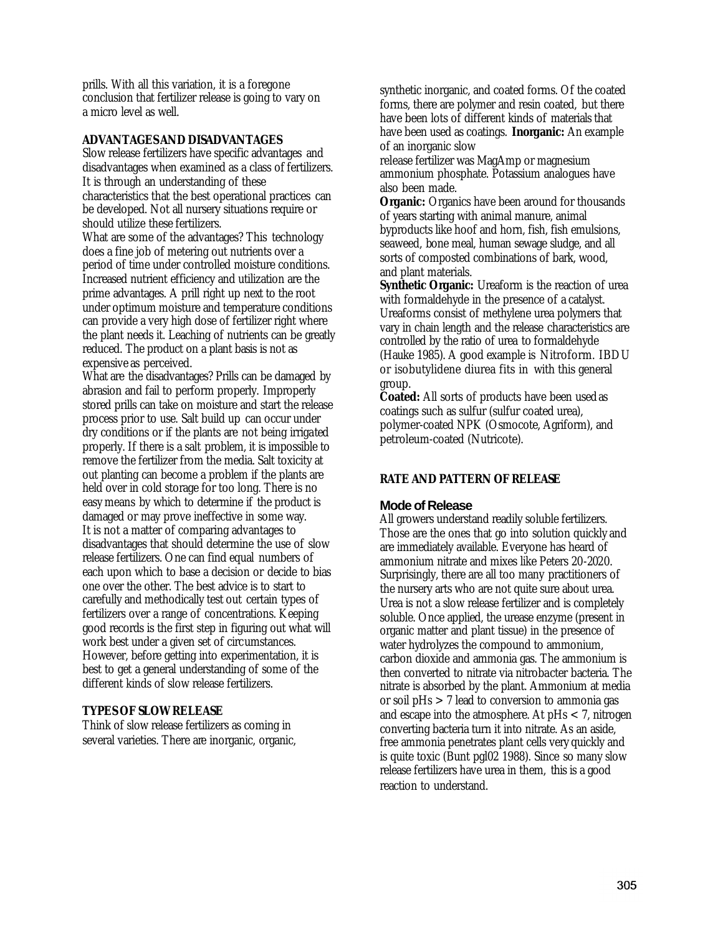prills. With all this variation, it is a foregone conclusion that fertilizer release is going to vary on a micro level as well.

#### **ADVANTAGES AND DISADVANTAGES**

Slow release fertilizers have specific advantages and disadvantages when examined as a class of fertilizers. It is through an understanding of these characteristics that the best operational practices can be developed. Not all nursery situations require or should utilize these fertilizers.

What are some of the advantages? This technology does a fine job of metering out nutrients over a period of time under controlled moisture conditions. Increased nutrient efficiency and utilization are the prime advantages. A prill right up next to the root under optimum moisture and temperature conditions can provide a very high dose of fertilizer right where the plant needs it. Leaching of nutrients can be greatly reduced. The product on a plant basis is not as expensive as perceived.

What are the disadvantages? Prills can be damaged by abrasion and fail to perform properly. Improperly stored prills can take on moisture and start the release process prior to use. Salt build up can occur under dry conditions or if the plants are not being irrigated properly. If there is a salt problem, it is impossible to remove the fertilizer from the media. Salt toxicity at out planting can become a problem if the plants are held over in cold storage for too long. There is no easy means by which to determine if the product is damaged or may prove ineffective in some way. It is not a matter of comparing advantages to disadvantages that should determine the use of slow release fertilizers. One can find equal numbers of each upon which to base a decision or decide to bias one over the other. The best advice is to start to carefully and methodically test out certain types of fertilizers over a range of concentrations. Keeping good records is the first step in figuring out what will work best under a given set of circumstances. However, before getting into experimentation, it is best to get a general understanding of some of the different kinds of slow release fertilizers.

# **TYPES OF SLOW RELEASE**

Think of slow release fertilizers as coming in several varieties. There are inorganic, organic, synthetic inorganic, and coated forms. Of the coated forms, there are polymer and resin coated, but there have been lots of different kinds of materials that have been used as coatings. **Inorganic:** An example of an inorganic slow

release fertilizer was MagAmp or magnesium ammonium phosphate. Potassium analogues have also been made.

**Organic:** Organics have been around for thousands of years starting with animal manure, animal byproducts like hoof and horn, fish, fish emulsions, seaweed, bone meal, human sewage sludge, and all sorts of composted combinations of bark, wood, and plant materials.

Synthetic Organic: Ureaform is the reaction of urea with formaldehyde in the presence of a catalyst. Ureaforms consist of methylene urea polymers that vary in chain length and the release characteristics are controlled by the ratio of urea to formaldehyde (Hauke 1985). A good example is Nitroform. IBDU or isobutylidene diurea fits in with this general group.

**Coated:** All sorts of products have been used as coatings such as sulfur (sulfur coated urea), polymer-coated NPK (Osmocote, Agriform), and petroleum-coated (Nutricote).

### **RATE AND PATTERN OF RELEASE**

### **Mode of Release**

All growers understand readily soluble fertilizers. Those are the ones that go into solution quickly and are immediately available. Everyone has heard of ammonium nitrate and mixes like Peters 20-2020. Surprisingly, there are all too many practitioners of the nursery arts who are not quite sure about urea. Urea is not a slow release fertilizer and is completely soluble. Once applied, the urease enzyme (present in organic matter and plant tissue) in the presence of water hydrolyzes the compound to ammonium, carbon dioxide and ammonia gas. The ammonium is then converted to nitrate via nitrobacter bacteria. The nitrate is absorbed by the plant. Ammonium at media or soil pHs > 7 lead to conversion to ammonia gas and escape into the atmosphere. At pHs < 7, nitrogen converting bacteria turn it into nitrate. As an aside, free ammonia penetrates plant cells very quickly and is quite toxic (Bunt pgl02 1988). Since so many slow release fertilizers have urea in them, this is a good reaction to understand.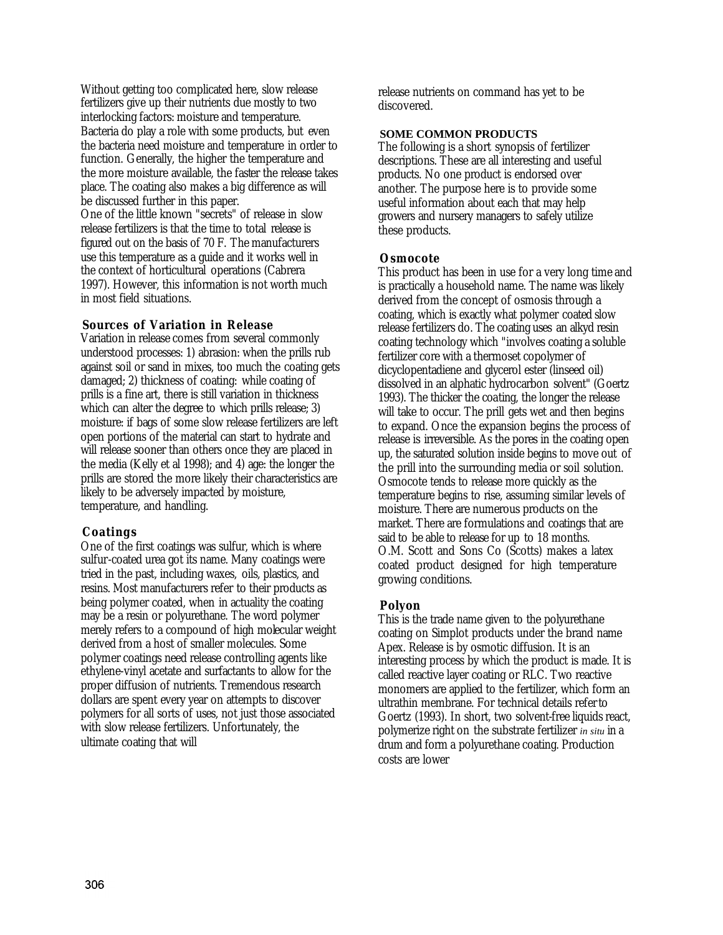Without getting too complicated here, slow release fertilizers give up their nutrients due mostly to two interlocking factors: moisture and temperature. Bacteria do play a role with some products, but even the bacteria need moisture and temperature in order to function. Generally, the higher the temperature and the more moisture available, the faster the release takes place. The coating also makes a big difference as will be discussed further in this paper. One of the little known "secrets" of release in slow release fertilizers is that the time to total release is figured out on the basis of 70 F. The manufacturers use this temperature as a guide and it works well in the context of horticultural operations (Cabrera 1997). However, this information is not worth much in most field situations.

#### **Sources of Variation in Release**

Variation in release comes from several commonly understood processes: 1) abrasion: when the prills rub against soil or sand in mixes, too much the coating gets damaged; 2) thickness of coating: while coating of prills is a fine art, there is still variation in thickness which can alter the degree to which prills release; 3) moisture: if bags of some slow release fertilizers are left open portions of the material can start to hydrate and will release sooner than others once they are placed in the media (Kelly et al 1998); and 4) age: the longer the prills are stored the more likely their characteristics are likely to be adversely impacted by moisture, temperature, and handling.

#### **Coatings**

One of the first coatings was sulfur, which is where sulfur-coated urea got its name. Many coatings were tried in the past, including waxes, oils, plastics, and resins. Most manufacturers refer to their products as being polymer coated, when in actuality the coating may be a resin or polyurethane. The word polymer merely refers to a compound of high molecular weight derived from a host of smaller molecules. Some polymer coatings need release controlling agents like ethylene-vinyl acetate and surfactants to allow for the proper diffusion of nutrients. Tremendous research dollars are spent every year on attempts to discover polymers for all sorts of uses, not just those associated with slow release fertilizers. Unfortunately, the ultimate coating that will

release nutrients on command has yet to be discovered.

#### **SOME COMMON PRODUCTS**

The following is a short synopsis of fertilizer descriptions. These are all interesting and useful products. No one product is endorsed over another. The purpose here is to provide some useful information about each that may help growers and nursery managers to safely utilize these products.

#### **Osmocote**

This product has been in use for a very long time and is practically a household name. The name was likely derived from the concept of osmosis through a coating, which is exactly what polymer coated slow release fertilizers do. The coating uses an alkyd resin coating technology which "involves coating a soluble fertilizer core with a thermoset copolymer of dicyclopentadiene and glycerol ester (linseed oil) dissolved in an alphatic hydrocarbon solvent" (Goertz 1993). The thicker the coating, the longer the release will take to occur. The prill gets wet and then begins to expand. Once the expansion begins the process of release is irreversible. As the pores in the coating open up, the saturated solution inside begins to move out of the prill into the surrounding media or soil solution. Osmocote tends to release more quickly as the temperature begins to rise, assuming similar levels of moisture. There are numerous products on the market. There are formulations and coatings that are said to be able to release for up to 18 months. O.M. Scott and Sons Co (Scotts) makes a latex coated product designed for high temperature growing conditions.

#### **Polyon**

This is the trade name given to the polyurethane coating on Simplot products under the brand name Apex. Release is by osmotic diffusion. It is an interesting process by which the product is made. It is called reactive layer coating or RLC. Two reactive monomers are applied to the fertilizer, which form an ultrathin membrane. For technical details refer to Goertz (1993). In short, two solvent-free liquids react, polymerize right on the substrate fertilizer *in situ* in a drum and form a polyurethane coating. Production costs are lower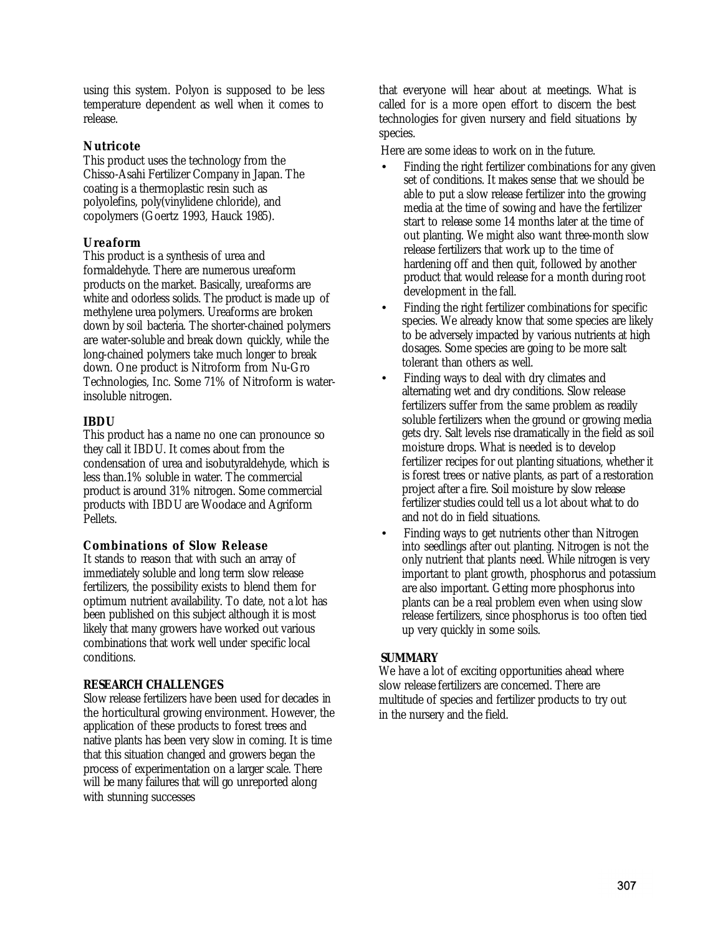using this system. Polyon is supposed to be less temperature dependent as well when it comes to release.

# **Nutricote**

This product uses the technology from the Chisso-Asahi Fertilizer Company in Japan. The coating is a thermoplastic resin such as polyolefins, poly(vinylidene chloride), and copolymers (Goertz 1993, Hauck 1985).

# **Ureaform**

This product is a synthesis of urea and formaldehyde. There are numerous ureaform products on the market. Basically, ureaforms are white and odorless solids. The product is made up of methylene urea polymers. Ureaforms are broken down by soil bacteria. The shorter-chained polymers are water-soluble and break down quickly, while the long-chained polymers take much longer to break down. One product is Nitroform from Nu-Gro Technologies, Inc. Some 71% of Nitroform is waterinsoluble nitrogen.

# **IBDU**

This product has a name no one can pronounce so they call it IBDU. It comes about from the condensation of urea and isobutyraldehyde, which is less than.1% soluble in water. The commercial product is around 31% nitrogen. Some commercial products with IBDU are Woodace and Agriform Pellets.

### **Combinations of Slow Release**

It stands to reason that with such an array of immediately soluble and long term slow release fertilizers, the possibility exists to blend them for optimum nutrient availability. To date, not a lot has been published on this subject although it is most likely that many growers have worked out various combinations that work well under specific local conditions.

### **RESEARCH CHALLENGES**

Slow release fertilizers have been used for decades in the horticultural growing environment. However, the application of these products to forest trees and native plants has been very slow in coming. It is time that this situation changed and growers began the process of experimentation on a larger scale. There will be many failures that will go unreported along with stunning successes

that everyone will hear about at meetings. What is called for is a more open effort to discern the best technologies for given nursery and field situations by species.

Here are some ideas to work on in the future.

- Finding the right fertilizer combinations for any given set of conditions. It makes sense that we should be able to put a slow release fertilizer into the growing media at the time of sowing and have the fertilizer start to release some 14 months later at the time of out planting. We might also want three-month slow release fertilizers that work up to the time of hardening off and then quit, followed by another product that would release for a month during root development in the fall.
- Finding the right fertilizer combinations for specific species. We already know that some species are likely to be adversely impacted by various nutrients at high dosages. Some species are going to be more salt tolerant than others as well.
- Finding ways to deal with dry climates and alternating wet and dry conditions. Slow release fertilizers suffer from the same problem as readily soluble fertilizers when the ground or growing media gets dry. Salt levels rise dramatically in the field as soil moisture drops. What is needed is to develop fertilizer recipes for out planting situations, whether it is forest trees or native plants, as part of a restoration project after a fire. Soil moisture by slow release fertilizer studies could tell us a lot about what to do and not do in field situations.
- Finding ways to get nutrients other than Nitrogen into seedlings after out planting. Nitrogen is not the only nutrient that plants need. While nitrogen is very important to plant growth, phosphorus and potassium are also important. Getting more phosphorus into plants can be a real problem even when using slow release fertilizers, since phosphorus is too often tied up very quickly in some soils.

### **SUMMARY**

We have a lot of exciting opportunities ahead where slow release fertilizers are concerned. There are multitude of species and fertilizer products to try out in the nursery and the field.